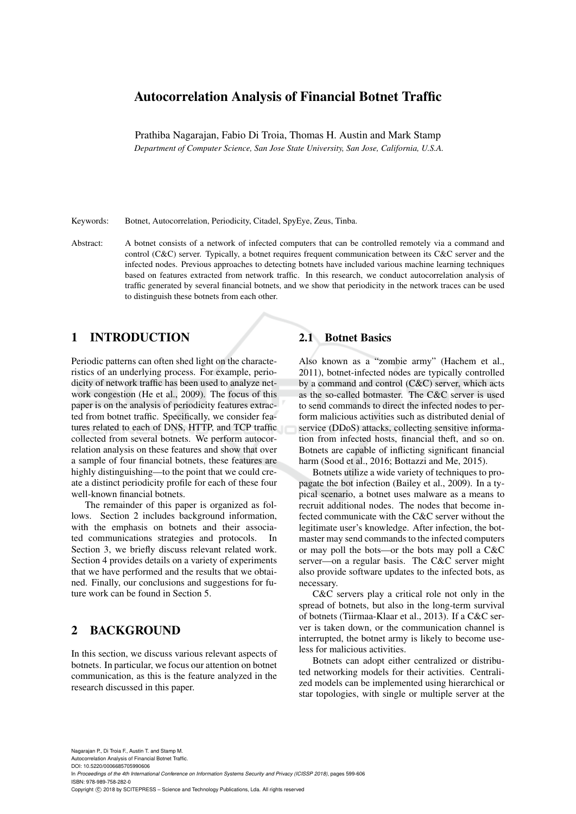# Autocorrelation Analysis of Financial Botnet Traffic

Prathiba Nagarajan, Fabio Di Troia, Thomas H. Austin and Mark Stamp *Department of Computer Science, San Jose State University, San Jose, California, U.S.A.*

Keywords: Botnet, Autocorrelation, Periodicity, Citadel, SpyEye, Zeus, Tinba.

Abstract: A botnet consists of a network of infected computers that can be controlled remotely via a command and control (C&C) server. Typically, a botnet requires frequent communication between its C&C server and the infected nodes. Previous approaches to detecting botnets have included various machine learning techniques based on features extracted from network traffic. In this research, we conduct autocorrelation analysis of traffic generated by several financial botnets, and we show that periodicity in the network traces can be used to distinguish these botnets from each other.

# 1 INTRODUCTION

Periodic patterns can often shed light on the characteristics of an underlying process. For example, periodicity of network traffic has been used to analyze network congestion (He et al., 2009). The focus of this paper is on the analysis of periodicity features extracted from botnet traffic. Specifically, we consider features related to each of DNS, HTTP, and TCP traffic collected from several botnets. We perform autocorrelation analysis on these features and show that over a sample of four financial botnets, these features are highly distinguishing—to the point that we could create a distinct periodicity profile for each of these four well-known financial botnets.

The remainder of this paper is organized as follows. Section 2 includes background information, with the emphasis on botnets and their associated communications strategies and protocols. In Section 3, we briefly discuss relevant related work. Section 4 provides details on a variety of experiments that we have performed and the results that we obtained. Finally, our conclusions and suggestions for future work can be found in Section 5.

# 2 BACKGROUND

In this section, we discuss various relevant aspects of botnets. In particular, we focus our attention on botnet communication, as this is the feature analyzed in the research discussed in this paper.

## 2.1 Botnet Basics

Also known as a "zombie army" (Hachem et al., 2011), botnet-infected nodes are typically controlled by a command and control (C&C) server, which acts as the so-called botmaster. The C&C server is used to send commands to direct the infected nodes to perform malicious activities such as distributed denial of service (DDoS) attacks, collecting sensitive information from infected hosts, financial theft, and so on. Botnets are capable of inflicting significant financial harm (Sood et al., 2016; Bottazzi and Me, 2015).

Botnets utilize a wide variety of techniques to propagate the bot infection (Bailey et al., 2009). In a typical scenario, a botnet uses malware as a means to recruit additional nodes. The nodes that become infected communicate with the C&C server without the legitimate user's knowledge. After infection, the botmaster may send commands to the infected computers or may poll the bots—or the bots may poll a C&C server—on a regular basis. The C&C server might also provide software updates to the infected bots, as necessary.

C&C servers play a critical role not only in the spread of botnets, but also in the long-term survival of botnets (Tiirmaa-Klaar et al., 2013). If a C&C server is taken down, or the communication channel is interrupted, the botnet army is likely to become useless for malicious activities.

Botnets can adopt either centralized or distributed networking models for their activities. Centralized models can be implemented using hierarchical or star topologies, with single or multiple server at the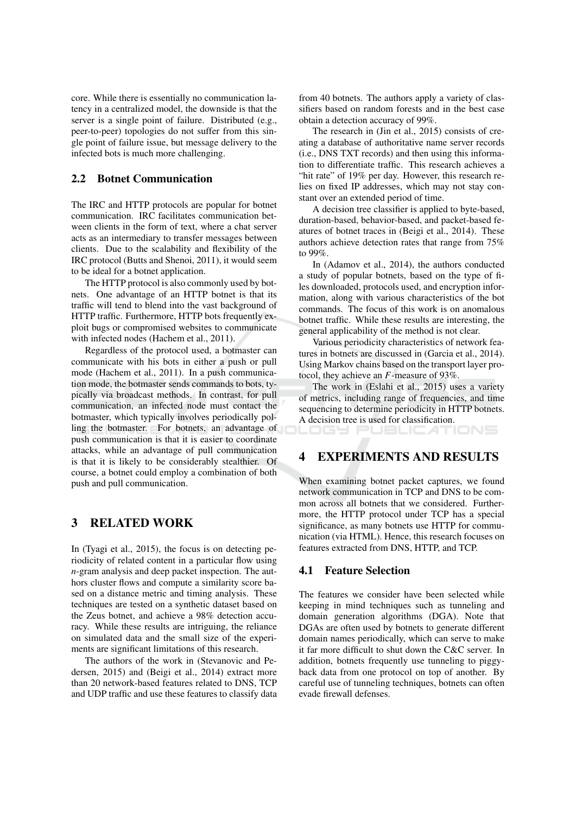core. While there is essentially no communication latency in a centralized model, the downside is that the server is a single point of failure. Distributed (e.g., peer-to-peer) topologies do not suffer from this single point of failure issue, but message delivery to the infected bots is much more challenging.

#### $2.2^{\circ}$ **Botnet Communication**

The IRC and HTTP protocols are popular for botnet communication. IRC facilitates communication between clients in the form of text, where a chat server acts as an intermediary to transfer messages between clients. Due to the scalability and flexibility of the IRC protocol (Butts and Shenoi, 2011), it would seem to be ideal for a botnet application.

The HTTP protocol is also commonly used by botnets. One advantage of an HTTP botnet is that its traffic will tend to blend into the vast background of HTTP traffic. Furthermore, HTTP bots frequently exploit bugs or compromised websites to communicate with infected nodes (Hachem et al., 2011).

Regardless of the protocol used, a botmaster can communicate with his bots in either a push or pull mode (Hachem et al., 2011). In a push communication mode, the botmaster sends commands to bots, typically via broadcast methods. In contrast, for pull communication, an infected node must contact the botmaster, which typically involves periodically polling the botmaster. For botnets, an advantage of push communication is that it is easier to coordinate attacks, while an advantage of pull communication is that it is likely to be considerably stealthier. Of course, a botnet could employ a combination of both push and pull communication.

#### **RELATED WORK** 3

In (Tyagi et al., 2015), the focus is on detecting periodicity of related content in a particular flow using  $n$ -gram analysis and deep packet inspection. The authors cluster flows and compute a similarity score based on a distance metric and timing analysis. These techniques are tested on a synthetic dataset based on the Zeus botnet, and achieve a 98% detection accuracy. While these results are intriguing, the reliance on simulated data and the small size of the experiments are significant limitations of this research.

The authors of the work in (Stevanovic and Pedersen, 2015) and (Beigi et al., 2014) extract more than 20 network-based features related to DNS, TCP and UDP traffic and use these features to classify data from 40 botnets. The authors apply a variety of classifiers based on random forests and in the best case obtain a detection accuracy of 99%.

The research in (Jin et al., 2015) consists of creating a database of authoritative name server records (i.e., DNS TXT records) and then using this information to differentiate traffic. This research achieves a "hit rate" of 19% per day. However, this research relies on fixed IP addresses, which may not stay constant over an extended period of time.

A decision tree classifier is applied to byte-based, duration-based, behavior-based, and packet-based features of botnet traces in (Beigi et al., 2014). These authors achieve detection rates that range from 75% to  $99\%$ 

In (Adamov et al., 2014), the authors conducted a study of popular botnets, based on the type of files downloaded, protocols used, and encryption information, along with various characteristics of the bot commands. The focus of this work is on anomalous botnet traffic. While these results are interesting, the general applicability of the method is not clear.

Various periodicity characteristics of network features in botnets are discussed in (Garcia et al., 2014). Using Markov chains based on the transport layer protocol, they achieve an  $F$ -measure of 93%.

The work in (Eslahi et al., 2015) uses a variety of metrics, including range of frequencies, and time sequencing to determine periodicity in HTTP botnets. A decision tree is used for classification.

OGY PUBLICATIONS

#### **EXPERIMENTS AND RESULTS**  $\boldsymbol{\Lambda}$

When examining botnet packet captures, we found network communication in TCP and DNS to be common across all botnets that we considered. Furthermore, the HTTP protocol under TCP has a special significance, as many botnets use HTTP for communication (via HTML). Hence, this research focuses on features extracted from DNS. HTTP, and TCP.

## **4.1 Feature Selection**

The features we consider have been selected while keeping in mind techniques such as tunneling and domain generation algorithms (DGA). Note that DGAs are often used by botnets to generate different domain names periodically, which can serve to make it far more difficult to shut down the C&C server. In addition, botnets frequently use tunneling to piggyback data from one protocol on top of another. By careful use of tunneling techniques, botnets can often evade firewall defenses.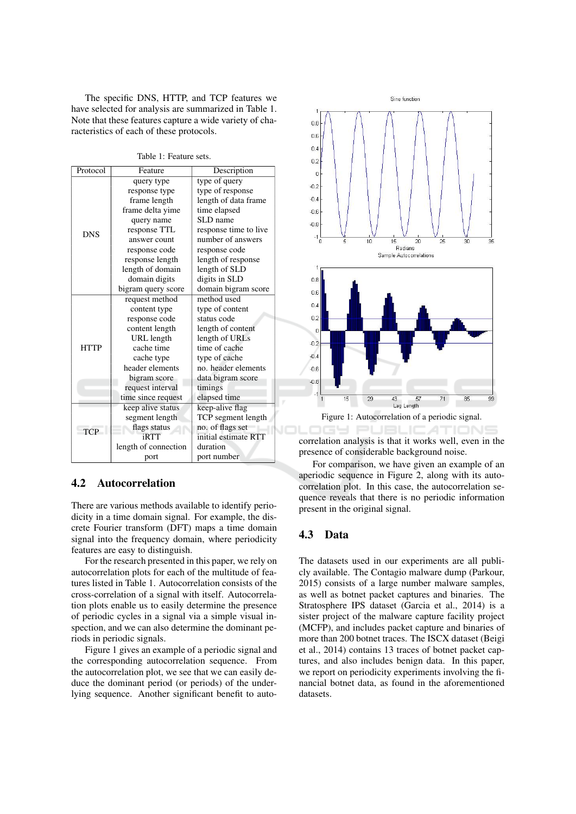The specific DNS, HTTP, and TCP features we have selected for analysis are summarized in Table 1. Note that these features capture a wide variety of characteristics of each of these protocols.

| Protocol    | Feature              | Description           |  |
|-------------|----------------------|-----------------------|--|
| <b>DNS</b>  | query type           | type of query         |  |
|             | response type        | type of response      |  |
|             | frame length         | length of data frame  |  |
|             | frame delta yime     | time elapsed          |  |
|             | query name           | SLD name              |  |
|             | response TTL         | response time to live |  |
|             | answer count         | number of answers     |  |
|             | response code        | response code         |  |
|             | response length      | length of response    |  |
|             | length of domain     | length of SLD         |  |
|             | domain digits        | digits in SLD         |  |
|             | bigram query score   | domain bigram score   |  |
| <b>HTTP</b> | request method       | method used           |  |
|             | content type         | type of content       |  |
|             | response code        | status code           |  |
|             | content length       | length of content     |  |
|             | URL length           | length of URLs        |  |
|             | cache time           | time of cache         |  |
|             | cache type           | type of cache         |  |
|             | header elements      | no. header elements   |  |
|             | bigram score         | data bigram score     |  |
|             | request interval     | timings               |  |
|             | time since request   | elapsed time          |  |
| <b>TCP</b>  | keep alive status    | keep-alive flag       |  |
|             | segment length       | TCP segment length    |  |
|             | flags status         | no. of flags set      |  |
|             | iRTT                 | initial estimate RTT  |  |
|             | length of connection | duration              |  |
|             | port                 | port number           |  |

Table 1: Feature sets.

#### $4.2$ Autocorrelation

There are various methods available to identify periodicity in a time domain signal. For example, the discrete Fourier transform (DFT) maps a time domain signal into the frequency domain, where periodicity features are easy to distinguish.

For the research presented in this paper, we rely on autocorrelation plots for each of the multitude of features listed in Table 1. Autocorrelation consists of the cross-correlation of a signal with itself. Autocorrelation plots enable us to easily determine the presence of periodic cycles in a signal via a simple visual inspection, and we can also determine the dominant periods in periodic signals.

Figure 1 gives an example of a periodic signal and the corresponding autocorrelation sequence. From the autocorrelation plot, we see that we can easily deduce the dominant period (or periods) of the underlying sequence. Another significant benefit to auto-





Figure 1: Autocorrelation of a periodic signal.

VOLOGY PUBLICATIONS correlation analysis is that it works well, even in the presence of considerable background noise.

For comparison, we have given an example of an aperiodic sequence in Figure 2, along with its autocorrelation plot. In this case, the autocorrelation sequence reveals that there is no periodic information present in the original signal.

## 4.3 Data

The datasets used in our experiments are all publicly available. The Contagio malware dump (Parkour, 2015) consists of a large number malware samples, as well as botnet packet captures and binaries. The Stratosphere IPS dataset (Garcia et al., 2014) is a sister project of the malware capture facility project (MCFP), and includes packet capture and binaries of more than 200 botnet traces. The ISCX dataset (Beigi et al., 2014) contains 13 traces of botnet packet captures, and also includes benign data. In this paper, we report on periodicity experiments involving the financial botnet data, as found in the aforementioned datasets.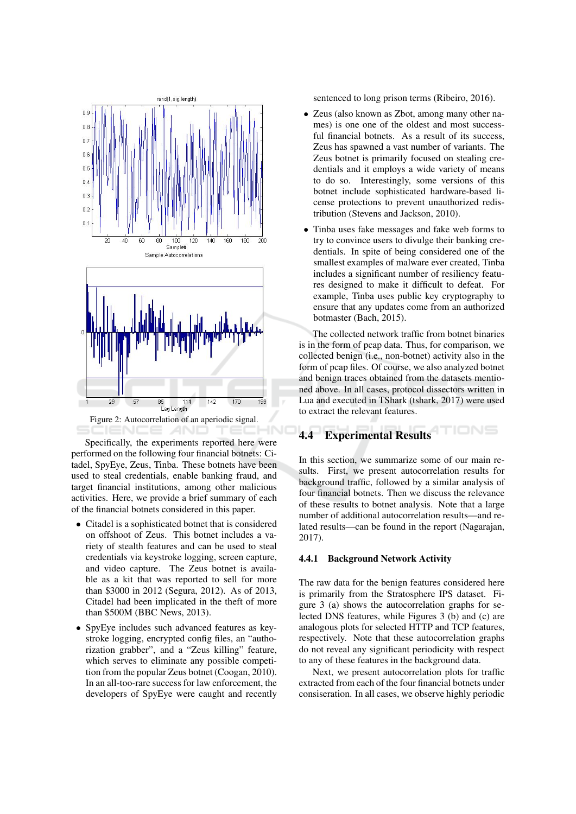

Figure 2: Autocorrelation of an aperiodic signal. IENCE *A*ND

Specifically, the experiments reported here were performed on the following four financial botnets: Citadel, SpyEye, Zeus, Tinba. These botnets have been used to steal credentials, enable banking fraud, and target financial institutions, among other malicious activities. Here, we provide a brief summary of each of the financial botnets considered in this paper.

- Citadel is a sophisticated botnet that is considered on offshoot of Zeus. This botnet includes a variety of stealth features and can be used to steal credentials via keystroke logging, screen capture, and video capture. The Zeus botnet is available as a kit that was reported to sell for more than \$3000 in 2012 (Segura, 2012). As of 2013, Citadel had been implicated in the theft of more than \$500M (BBC News, 2013).
- SpyEye includes such advanced features as keystroke logging, encrypted config files, an "authorization grabber", and a "Zeus killing" feature, which serves to eliminate any possible competition from the popular Zeus botnet (Coogan, 2010). In an all-too-rare success for law enforcement, the developers of SpyEye were caught and recently

sentenced to long prison terms (Ribeiro, 2016).

- Zeus (also known as Zbot, among many other names) is one one of the oldest and most successful financial botnets. As a result of its success, Zeus has spawned a vast number of variants. The Zeus botnet is primarily focused on stealing credentials and it employs a wide variety of means to do so. Interestingly, some versions of this botnet include sophisticated hardware-based license protections to prevent unauthorized redistribution (Stevens and Jackson, 2010).
- Tinba uses fake messages and fake web forms to try to convince users to divulge their banking credentials. In spite of being considered one of the smallest examples of malware ever created, Tinba includes a significant number of resiliency features designed to make it difficult to defeat. For example, Tinba uses public key cryptography to ensure that any updates come from an authorized botmaster (Bach, 2015).

The collected network traffic from botnet binaries is in the form of peap data. Thus, for comparison, we collected benign (i.e., non-botnet) activity also in the form of pcap files. Of course, we also analyzed botnet and benign traces obtained from the datasets mentioned above. In all cases, protocol dissectors written in Lua and executed in TShark (tshark, 2017) were used to extract the relevant features.

#### TIONS **Experimental Results** 4.4

In this section, we summarize some of our main results. First, we present autocorrelation results for background traffic, followed by a similar analysis of four financial botnets. Then we discuss the relevance of these results to botnet analysis. Note that a large number of additional autocorrelation results—and related results—can be found in the report (Nagarajan,  $2017$ ).

### 4.4.1 Background Network Activity

The raw data for the benign features considered here is primarily from the Stratosphere IPS dataset. Figure 3 (a) shows the autocorrelation graphs for selected DNS features, while Figures 3 (b) and (c) are analogous plots for selected HTTP and TCP features, respectively. Note that these autocorrelation graphs do not reveal any significant periodicity with respect to any of these features in the background data.

Next, we present autocorrelation plots for traffic extracted from each of the four financial botnets under consiseration. In all cases, we observe highly periodic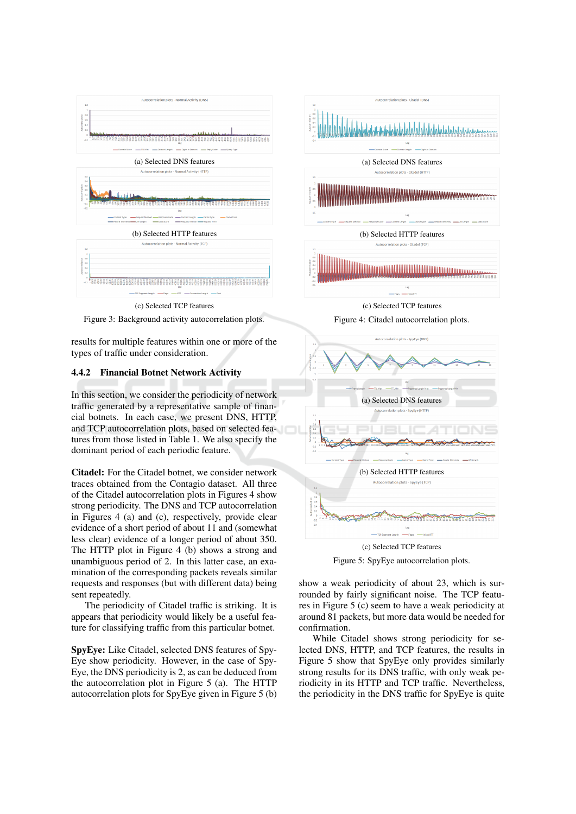



results for multiple features within one or more of the types of traffic under consideration.

### 4.4.2 Financial Botnet Network Activity

In this section, we consider the periodicity of network traffic generated by a representative sample of financial botnets. In each case, we present DNS, HTTP, and TCP autocorrelation plots, based on selected features from those listed in Table 1. We also specify the dominant period of each periodic feature.

Citadel: For the Citadel botnet, we consider network traces obtained from the Contagio dataset. All three of the Citadel autocorrelation plots in Figures 4 show strong periodicity. The DNS and TCP autocorrelation in Figures 4 (a) and (c), respectively, provide clear evidence of a short period of about 11 and (somewhat less clear) evidence of a longer period of about 350. The HTTP plot in Figure 4 (b) shows a strong and unambiguous period of 2. In this latter case, an examination of the corresponding packets reveals similar requests and responses (but with different data) being sent repeatedly.

The periodicity of Citadel traffic is striking. It is appears that periodicity would likely be a useful feature for classifying traffic from this particular botnet.

SpyEye: Like Citadel, selected DNS features of Spy-Eye show periodicity. However, in the case of Spy-Eye, the DNS periodicity is 2, as can be deduced from the autocorrelation plot in Figure 5 (a). The HTTP autocorrelation plots for SpyEye given in Figure 5 (b)



(c) Selected TCP features





Figure 5: SpyEye autocorrelation plots.

show a weak periodicity of about 23, which is surrounded by fairly significant noise. The TCP features in Figure 5 (c) seem to have a weak periodicity at around 81 packets, but more data would be needed for confirmation.

While Citadel shows strong periodicity for selected DNS, HTTP, and TCP features, the results in Figure 5 show that SpyEye only provides similarly strong results for its DNS traffic, with only weak periodicity in its HTTP and TCP traffic. Nevertheless, the periodicity in the DNS traffic for SpyEye is quite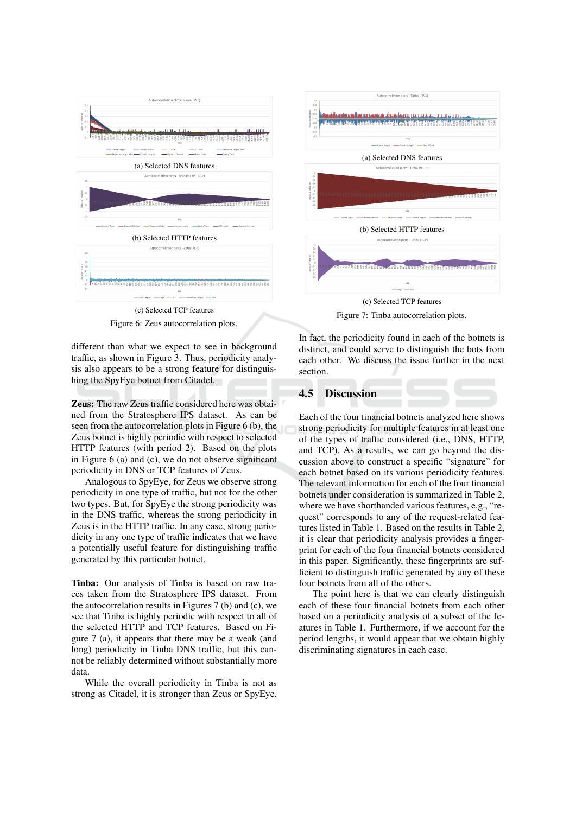

Figure 6: Zeus autocorrelation plots.

different than what we expect to see in background traffic, as shown in Figure 3. Thus, periodicity analysis also appears to be a strong feature for distinguishing the SpyEye botnet from Citadel.

**Zeus:** The raw Zeus traffic considered here was obtained from the Stratosphere IPS dataset. As can be seen from the autocorrelation plots in Figure 6 (b), the Zeus botnet is highly periodic with respect to selected HTTP features (with period 2). Based on the plots in Figure  $6$  (a) and (c), we do not observe significant periodicity in DNS or TCP features of Zeus.

Analogous to SpyEye, for Zeus we observe strong periodicity in one type of traffic, but not for the other two types. But, for SpyEye the strong periodicity was in the DNS traffic, whereas the strong periodicity in Zeus is in the HTTP traffic. In any case, strong periodicity in any one type of traffic indicates that we have a potentially useful feature for distinguishing traffic generated by this particular botnet.

Tinba: Our analysis of Tinba is based on raw traces taken from the Stratosphere IPS dataset. From the autocorrelation results in Figures 7 (b) and (c), we see that Tinba is highly periodic with respect to all of the selected HTTP and TCP features. Based on Figure 7 (a), it appears that there may be a weak (and long) periodicity in Tinba DNS traffic, but this cannot be reliably determined without substantially more data.

While the overall periodicity in Tinba is not as strong as Citadel, it is stronger than Zeus or SpyEye.



Figure 7: Tinba autocorrelation plots.

In fact, the periodicity found in each of the botnets is distinct, and could serve to distinguish the bots from each other. We discuss the issue further in the next section.

#### $4.5$ **Discussion**

Each of the four financial botnets analyzed here shows strong periodicity for multiple features in at least one of the types of traffic considered (i.e., DNS, HTTP, and TCP). As a results, we can go beyond the discussion above to construct a specific "signature" for each botnet based on its various periodicity features. The relevant information for each of the four financial botnets under consideration is summarized in Table 2. where we have shorthanded various features, e.g., "request" corresponds to any of the request-related features listed in Table 1. Based on the results in Table 2, it is clear that periodicity analysis provides a fingerprint for each of the four financial botnets considered in this paper. Significantly, these fingerprints are sufficient to distinguish traffic generated by any of these four botnets from all of the others.

The point here is that we can clearly distinguish each of these four financial botnets from each other based on a periodicity analysis of a subset of the features in Table 1. Furthermore, if we account for the period lengths, it would appear that we obtain highly discriminating signatures in each case.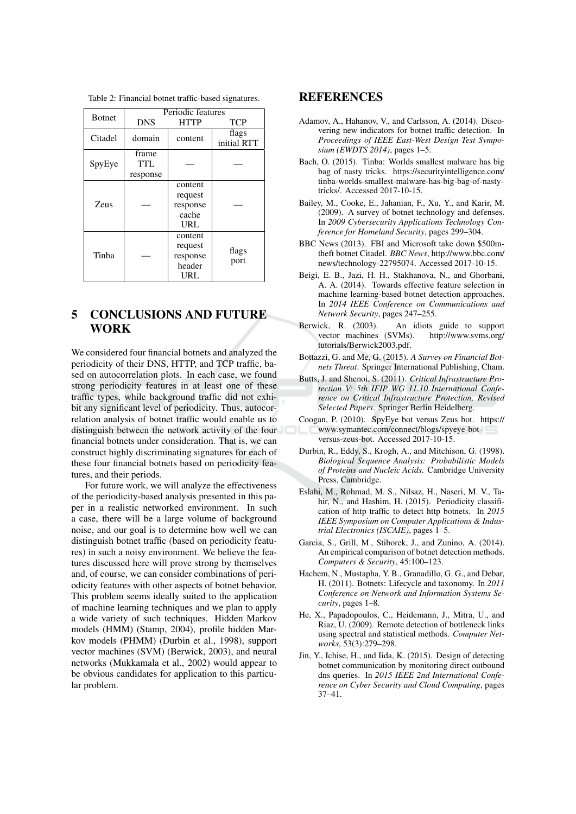|               | Periodic features               |                                                 |                      |  |
|---------------|---------------------------------|-------------------------------------------------|----------------------|--|
| <b>Botnet</b> | <b>DNS</b>                      | <b>HTTP</b>                                     | <b>TCP</b>           |  |
| Citadel       | domain                          | content                                         | flags<br>initial RTT |  |
| SpyEye        | frame<br><b>TTL</b><br>response |                                                 |                      |  |
| <b>Zeus</b>   |                                 | content<br>request<br>response<br>cache<br>URL  |                      |  |
| Tinba         |                                 | content<br>request<br>response<br>header<br>URL | flags<br>port        |  |

Table 2: Financial botnet traffic-based signatures.

### 5 **CONCLUSIONS AND FUTURE WORK**

We considered four financial botnets and analyzed the periodicity of their DNS, HTTP, and TCP traffic, based on autocorrelation plots. In each case, we found strong periodicity features in at least one of these traffic types, while background traffic did not exhibit any significant level of periodicity. Thus, autocorrelation analysis of botnet traffic would enable us to distinguish between the network activity of the four financial botnets under consideration. That is, we can construct highly discriminating signatures for each of these four financial botnets based on periodicity features, and their periods.

For future work, we will analyze the effectiveness of the periodicity-based analysis presented in this paper in a realistic networked environment. In such a case, there will be a large volume of background noise, and our goal is to determine how well we can distinguish botnet traffic (based on periodicity features) in such a noisy environment. We believe the features discussed here will prove strong by themselves and, of course, we can consider combinations of periodicity features with other aspects of botnet behavior. This problem seems ideally suited to the application of machine learning techniques and we plan to apply a wide variety of such techniques. Hidden Markov models (HMM) (Stamp, 2004), profile hidden Markov models (PHMM) (Durbin et al., 1998), support vector machines (SVM) (Berwick, 2003), and neural networks (Mukkamala et al., 2002) would appear to be obvious candidates for application to this particular problem.

### **REFERENCES**

- Adamov, A., Hahanov, V., and Carlsson, A. (2014). Discovering new indicators for botnet traffic detection. In Proceedings of IEEE East-West Design Test Symposium (EWDTS 2014), pages 1-5.
- Bach, O. (2015). Tinba: Worlds smallest malware has big bag of nasty tricks. https://securityintelligence.com/ tinba-worlds-smallest-malware-has-big-bag-of-nastytricks/. Accessed 2017-10-15.
- Bailey, M., Cooke, E., Jahanian, F., Xu, Y., and Karir, M. (2009). A survey of botnet technology and defenses. In 2009 Cybersecurity Applications Technology Conference for Homeland Security, pages 299-304.
- BBC News (2013). FBI and Microsoft take down \$500mtheft botnet Citadel. BBC News, http://www.bbc.com/ news/technology-22795074. Accessed 2017-10-15.
- Beigi, E. B., Jazi, H. H., Stakhanova, N., and Ghorbani, A. A. (2014). Towards effective feature selection in machine learning-based botnet detection approaches. In 2014 IEEE Conference on Communications and Network Security, pages 247-255.
- Berwick, R. (2003). An idiots guide to support vector machines (SVMs). http://www.svms.org/ tutorials/Berwick2003.pdf.
- Bottazzi, G. and Me, G. (2015). A Survey on Financial Botnets Threat. Springer International Publishing, Cham.
- Butts, J. and Shenoi, S. (2011). Critical Infrastructure Protection V: 5th IFIP WG 11.10 International Conference on Critical Infrastructure Protection, Revised Selected Papers. Springer Berlin Heidelberg.
- Coogan, P. (2010). SpyEye bot versus Zeus bot. https:// www.symantec.com/connect/blogs/spyeye-botversus-zeus-bot. Accessed 2017-10-15.
- Durbin, R., Eddy, S., Krogh, A., and Mitchison, G. (1998). Biological Sequence Analysis: Probabilistic Models of Proteins and Nucleic Acids. Cambridge University Press, Cambridge.
- Eslahi, M., Rohmad, M. S., Nilsaz, H., Naseri, M. V., Tahir, N., and Hashim, H. (2015). Periodicity classification of http traffic to detect http botnets. In 2015 IEEE Symposium on Computer Applications & Industrial Electronics (ISCAIE), pages 1-5.
- Garcia, S., Grill, M., Stiborek, J., and Zunino, A. (2014). An empirical comparison of botnet detection methods. Computers & Security, 45:100-123.
- Hachem, N., Mustapha, Y. B., Granadillo, G. G., and Debar, H. (2011). Botnets: Lifecycle and taxonomy. In 2011 Conference on Network and Information Systems Security, pages 1-8.
- He, X., Papadopoulos, C., Heidemann, J., Mitra, U., and Riaz, U. (2009). Remote detection of bottleneck links using spectral and statistical methods. Computer Networks, 53(3):279-298.
- Jin, Y., Ichise, H., and Iida, K. (2015). Design of detecting botnet communication by monitoring direct outbound dns queries. In 2015 IEEE 2nd International Conference on Cyber Security and Cloud Computing, pages  $37 - 41$ .